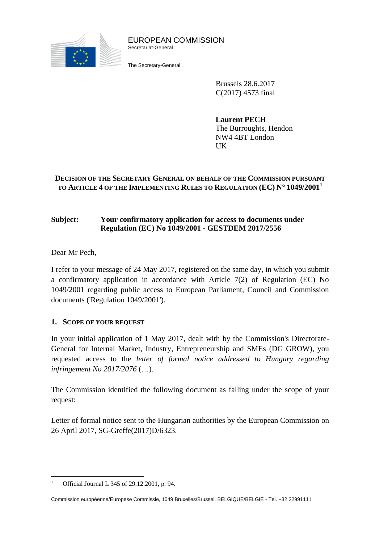

EUROPEAN COMMISSION Secretariat-General

The Secretary-General

Brussels 28.6.2017 C(2017) 4573 final

**Laurent PECH** The Burroughts, Hendon NW4 4BT London UK

# **DECISION OF THE SECRETARY GENERAL ON BEHALF OF THE COMMISSION PURSUANT TO ARTICLE 4 OF THE IMPLEMENTING RULES TO REGULATION (EC) N° 1049/2001<sup>1</sup>**

#### **Subject: Your confirmatory application for access to documents under Regulation (EC) No 1049/2001 - GESTDEM 2017/2556**

Dear Mr Pech,

I refer to your message of 24 May 2017, registered on the same day, in which you submit a confirmatory application in accordance with Article 7(2) of Regulation (EC) No 1049/2001 regarding public access to European Parliament, Council and Commission documents ('Regulation 1049/2001').

# **1. SCOPE OF YOUR REQUEST**

In your initial application of 1 May 2017, dealt with by the Commission's Directorate-General for Internal Market, Industry, Entrepreneurship and SMEs (DG GROW), you requested access to the *letter of formal notice addressed to Hungary regarding infringement No 2017/2076* (…).

The Commission identified the following document as falling under the scope of your request:

Letter of formal notice sent to the Hungarian authorities by the European Commission on 26 April 2017, SG-Greffe(2017)D/6323.

 $\overline{a}$ <sup>1</sup> Official Journal L 345 of 29.12.2001, p. 94.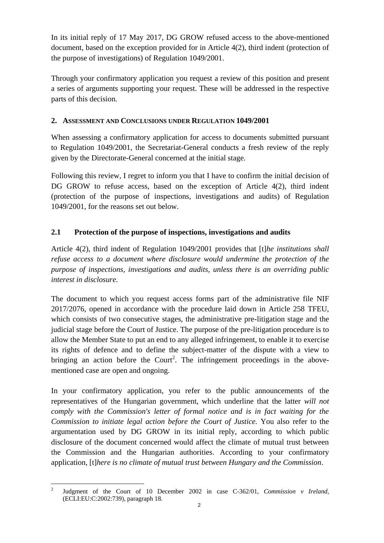In its initial reply of 17 May 2017, DG GROW refused access to the above-mentioned document, based on the exception provided for in Article 4(2), third indent (protection of the purpose of investigations) of Regulation 1049/2001.

Through your confirmatory application you request a review of this position and present a series of arguments supporting your request. These will be addressed in the respective parts of this decision.

#### **2. ASSESSMENT AND CONCLUSIONS UNDER REGULATION 1049/2001**

When assessing a confirmatory application for access to documents submitted pursuant to Regulation 1049/2001, the Secretariat-General conducts a fresh review of the reply given by the Directorate-General concerned at the initial stage.

Following this review, I regret to inform you that I have to confirm the initial decision of DG GROW to refuse access, based on the exception of Article 4(2), third indent (protection of the purpose of inspections, investigations and audits) of Regulation 1049/2001, for the reasons set out below.

# **2.1 Protection of the purpose of inspections, investigations and audits**

Article 4(2), third indent of Regulation 1049/2001 provides that [t]*he institutions shall refuse access to a document where disclosure would undermine the protection of the purpose of inspections, investigations and audits, unless there is an overriding public interest in disclosure.* 

The document to which you request access forms part of the administrative file NIF 2017/2076, opened in accordance with the procedure laid down in Article 258 TFEU, which consists of two consecutive stages, the administrative pre-litigation stage and the judicial stage before the Court of Justice. The purpose of the pre-litigation procedure is to allow the Member State to put an end to any alleged infringement, to enable it to exercise its rights of defence and to define the subject-matter of the dispute with a view to bringing an action before the Court<sup>2</sup>. The infringement proceedings in the abovementioned case are open and ongoing.

In your confirmatory application, you refer to the public announcements of the representatives of the Hungarian government, which underline that the latter *will not comply with the Commission's letter of formal notice and is in fact waiting for the Commission to initiate legal action before the Court of Justice.* You also refer to the argumentation used by DG GROW in its initial reply, according to which public disclosure of the document concerned would affect the climate of mutual trust between the Commission and the Hungarian authorities. According to your confirmatory application, [t]*here is no climate of mutual trust between Hungary and the Commission*.

 $\overline{a}$ 2 Judgment of the Court of 10 December 2002 in case C-362/01, *Commission v Ireland*, (ECLI:EU:C:2002:739), paragraph 18.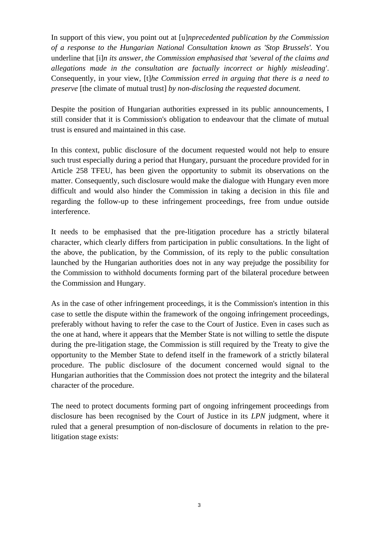In support of this view, you point out at [u]*nprecedented publication by the Commission of a response to the Hungarian National Consultation known as 'Stop Brussels'.* You underline that [i]*n its answer, the Commission emphasised that 'several of the claims and allegations made in the consultation are factually incorrect or highly misleading'*. Consequently, in your view, [t]*he Commission erred in arguing that there is a need to preserve* [the climate of mutual trust] *by non-disclosing the requested document.* 

Despite the position of Hungarian authorities expressed in its public announcements, I still consider that it is Commission's obligation to endeavour that the climate of mutual trust is ensured and maintained in this case.

In this context, public disclosure of the document requested would not help to ensure such trust especially during a period that Hungary, pursuant the procedure provided for in Article 258 TFEU, has been given the opportunity to submit its observations on the matter. Consequently, such disclosure would make the dialogue with Hungary even more difficult and would also hinder the Commission in taking a decision in this file and regarding the follow-up to these infringement proceedings, free from undue outside interference.

It needs to be emphasised that the pre-litigation procedure has a strictly bilateral character, which clearly differs from participation in public consultations. In the light of the above, the publication, by the Commission, of its reply to the public consultation launched by the Hungarian authorities does not in any way prejudge the possibility for the Commission to withhold documents forming part of the bilateral procedure between the Commission and Hungary.

As in the case of other infringement proceedings, it is the Commission's intention in this case to settle the dispute within the framework of the ongoing infringement proceedings, preferably without having to refer the case to the Court of Justice. Even in cases such as the one at hand, where it appears that the Member State is not willing to settle the dispute during the pre-litigation stage, the Commission is still required by the Treaty to give the opportunity to the Member State to defend itself in the framework of a strictly bilateral procedure. The public disclosure of the document concerned would signal to the Hungarian authorities that the Commission does not protect the integrity and the bilateral character of the procedure.

The need to protect documents forming part of ongoing infringement proceedings from disclosure has been recognised by the Court of Justice in its *LPN* judgment, where it ruled that a general presumption of non-disclosure of documents in relation to the prelitigation stage exists: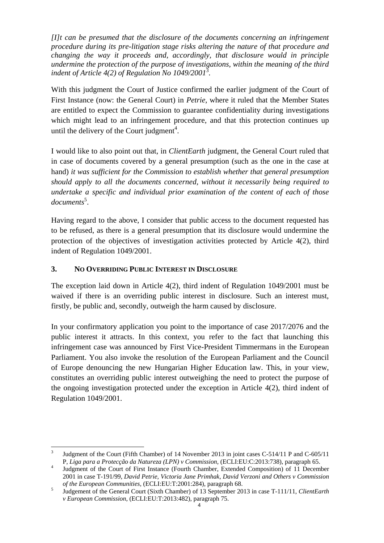*[I]t can be presumed that the disclosure of the documents concerning an infringement procedure during its pre-litigation stage risks altering the nature of that procedure and changing the way it proceeds and, accordingly, that disclosure would in principle undermine the protection of the purpose of investigations, within the meaning of the third indent of Article 4(2) of Regulation No 1049/2001*<sup>3</sup> *.*

With this judgment the Court of Justice confirmed the earlier judgment of the Court of First Instance (now: the General Court) in *Petrie*, where it ruled that the Member States are entitled to expect the Commission to guarantee confidentiality during investigations which might lead to an infringement procedure, and that this protection continues up until the delivery of the Court judgment<sup>4</sup>.

I would like to also point out that, in *ClientEarth* judgment, the General Court ruled that in case of documents covered by a general presumption (such as the one in the case at hand) *it was sufficient for the Commission to establish whether that general presumption should apply to all the documents concerned, without it necessarily being required to undertake a specific and individual prior examination of the content of each of those*  documents<sup>5</sup>.

Having regard to the above, I consider that public access to the document requested has to be refused, as there is a general presumption that its disclosure would undermine the protection of the objectives of investigation activities protected by Article 4(2), third indent of Regulation 1049/2001.

#### **3. NO OVERRIDING PUBLIC INTEREST IN DISCLOSURE**

The exception laid down in Article 4(2), third indent of Regulation 1049/2001 must be waived if there is an overriding public interest in disclosure. Such an interest must, firstly, be public and, secondly, outweigh the harm caused by disclosure.

In your confirmatory application you point to the importance of case 2017/2076 and the public interest it attracts. In this context, you refer to the fact that launching this infringement case was announced by First Vice-President Timmermans in the European Parliament. You also invoke the resolution of the European Parliament and the Council of Europe denouncing the new Hungarian Higher Education law. This, in your view, constitutes an overriding public interest outweighing the need to protect the purpose of the ongoing investigation protected under the exception in Article 4(2), third indent of Regulation 1049/2001.

 $\overline{a}$ 3 Judgment of the Court (Fifth Chamber) of 14 November 2013 in joint cases C-514/11 P and C-605/11 P, *Liga para a Protecção da Natureza (LPN) v Commission,* (ECLI:EU:C:2013:738), paragraph 65.

<sup>4</sup> Judgment of the Court of First Instance (Fourth Chamber, Extended Composition) of 11 December 2001 in case T-191/99, *David Petrie, Victoria Jane Primhak, David Verzoni and Others v Commission of the European Communities,* (ECLI:EU:T:2001:284), paragraph 68.

<sup>5</sup> Judgement of the General Court (Sixth Chamber) of 13 September 2013 in case T-111/11, *ClientEarth v European Commission*, (ECLI:EU:T:2013:482), paragraph 75.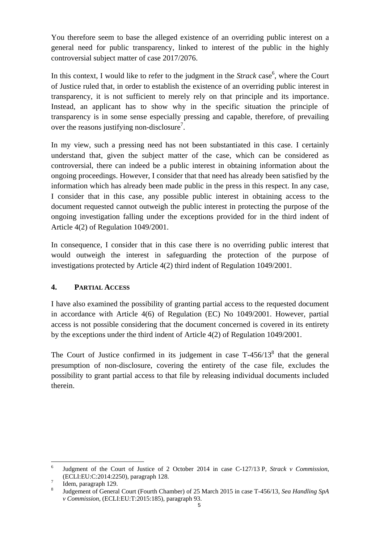You therefore seem to base the alleged existence of an overriding public interest on a general need for public transparency, linked to interest of the public in the highly controversial subject matter of case 2017/2076.

In this context, I would like to refer to the judgment in the *Strack* case<sup>6</sup>, where the Court of Justice ruled that, in order to establish the existence of an overriding public interest in transparency, it is not sufficient to merely rely on that principle and its importance. Instead, an applicant has to show why in the specific situation the principle of transparency is in some sense especially pressing and capable, therefore, of prevailing over the reasons justifying non-disclosure<sup>7</sup>.

In my view, such a pressing need has not been substantiated in this case. I certainly understand that, given the subject matter of the case, which can be considered as controversial, there can indeed be a public interest in obtaining information about the ongoing proceedings. However, I consider that that need has already been satisfied by the information which has already been made public in the press in this respect. In any case, I consider that in this case, any possible public interest in obtaining access to the document requested cannot outweigh the public interest in protecting the purpose of the ongoing investigation falling under the exceptions provided for in the third indent of Article 4(2) of Regulation 1049/2001.

In consequence, I consider that in this case there is no overriding public interest that would outweigh the interest in safeguarding the protection of the purpose of investigations protected by Article 4(2) third indent of Regulation 1049/2001.

# **4. PARTIAL ACCESS**

I have also examined the possibility of granting partial access to the requested document in accordance with Article 4(6) of Regulation (EC) No 1049/2001. However, partial access is not possible considering that the document concerned is covered in its entirety by the exceptions under the third indent of Article 4(2) of Regulation 1049/2001.

The Court of Justice confirmed in its judgement in case  $T-456/13^8$  that the general presumption of non-disclosure, covering the entirety of the case file, excludes the possibility to grant partial access to that file by releasing individual documents included therein.

 $\overline{a}$ 

<sup>6</sup> Judgment of the Court of Justice of 2 October 2014 in case C-127/13 P, *Strack v Commission*, (ECLI:EU:C:2014:2250), paragraph 128.

<sup>7</sup> Idem, paragraph 129.

<sup>8</sup> Judgement of General Court (Fourth Chamber) of 25 March 2015 in case T-456/13, *Sea Handling SpA v Commission*, (ECLI:EU:T:2015:185), paragraph 93.